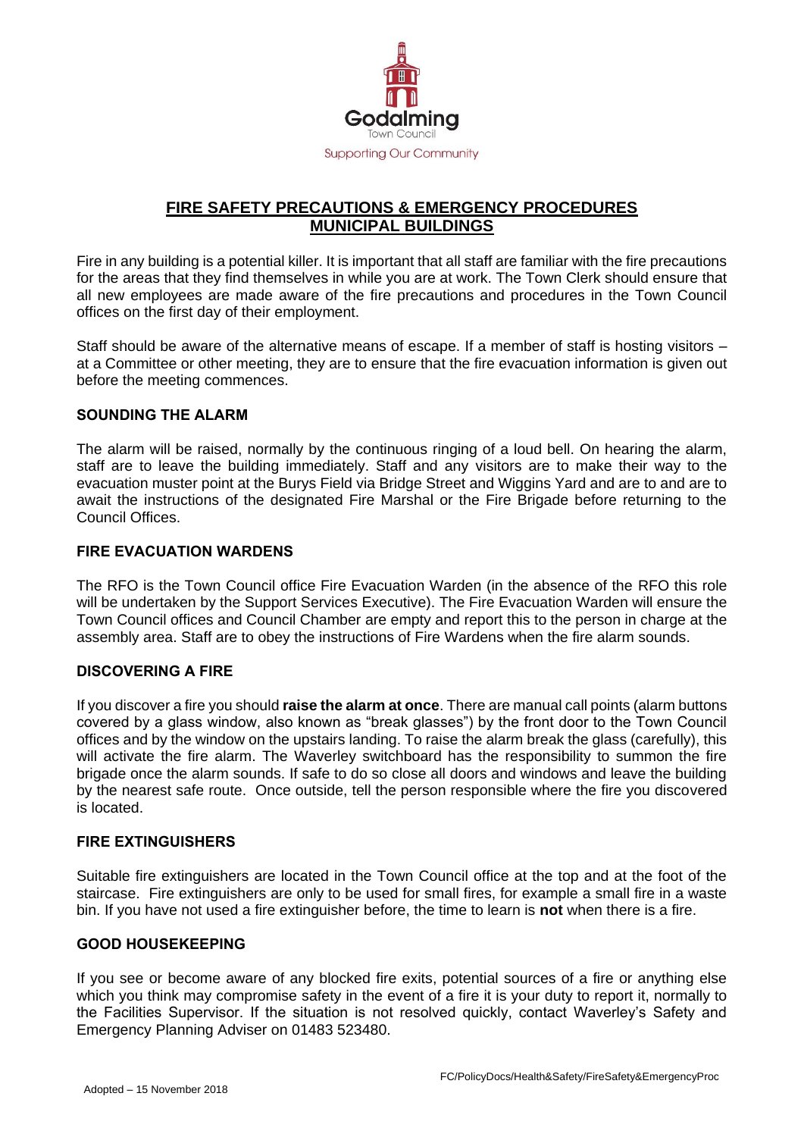

## **FIRE SAFETY PRECAUTIONS & EMERGENCY PROCEDURES MUNICIPAL BUILDINGS**

Fire in any building is a potential killer. It is important that all staff are familiar with the fire precautions for the areas that they find themselves in while you are at work. The Town Clerk should ensure that all new employees are made aware of the fire precautions and procedures in the Town Council offices on the first day of their employment.

Staff should be aware of the alternative means of escape. If a member of staff is hosting visitors – at a Committee or other meeting, they are to ensure that the fire evacuation information is given out before the meeting commences.

## **SOUNDING THE ALARM**

The alarm will be raised, normally by the continuous ringing of a loud bell. On hearing the alarm, staff are to leave the building immediately. Staff and any visitors are to make their way to the evacuation muster point at the Burys Field via Bridge Street and Wiggins Yard and are to and are to await the instructions of the designated Fire Marshal or the Fire Brigade before returning to the Council Offices.

### **FIRE EVACUATION WARDENS**

The RFO is the Town Council office Fire Evacuation Warden (in the absence of the RFO this role will be undertaken by the Support Services Executive). The Fire Evacuation Warden will ensure the Town Council offices and Council Chamber are empty and report this to the person in charge at the assembly area. Staff are to obey the instructions of Fire Wardens when the fire alarm sounds.

#### **DISCOVERING A FIRE**

If you discover a fire you should **raise the alarm at once**. There are manual call points (alarm buttons covered by a glass window, also known as "break glasses") by the front door to the Town Council offices and by the window on the upstairs landing. To raise the alarm break the glass (carefully), this will activate the fire alarm. The Waverley switchboard has the responsibility to summon the fire brigade once the alarm sounds. If safe to do so close all doors and windows and leave the building by the nearest safe route. Once outside, tell the person responsible where the fire you discovered is located.

#### **FIRE EXTINGUISHERS**

Suitable fire extinguishers are located in the Town Council office at the top and at the foot of the staircase. Fire extinguishers are only to be used for small fires, for example a small fire in a waste bin. If you have not used a fire extinguisher before, the time to learn is **not** when there is a fire.

#### **GOOD HOUSEKEEPING**

If you see or become aware of any blocked fire exits, potential sources of a fire or anything else which you think may compromise safety in the event of a fire it is your duty to report it, normally to the Facilities Supervisor. If the situation is not resolved quickly, contact Waverley's Safety and Emergency Planning Adviser on 01483 523480.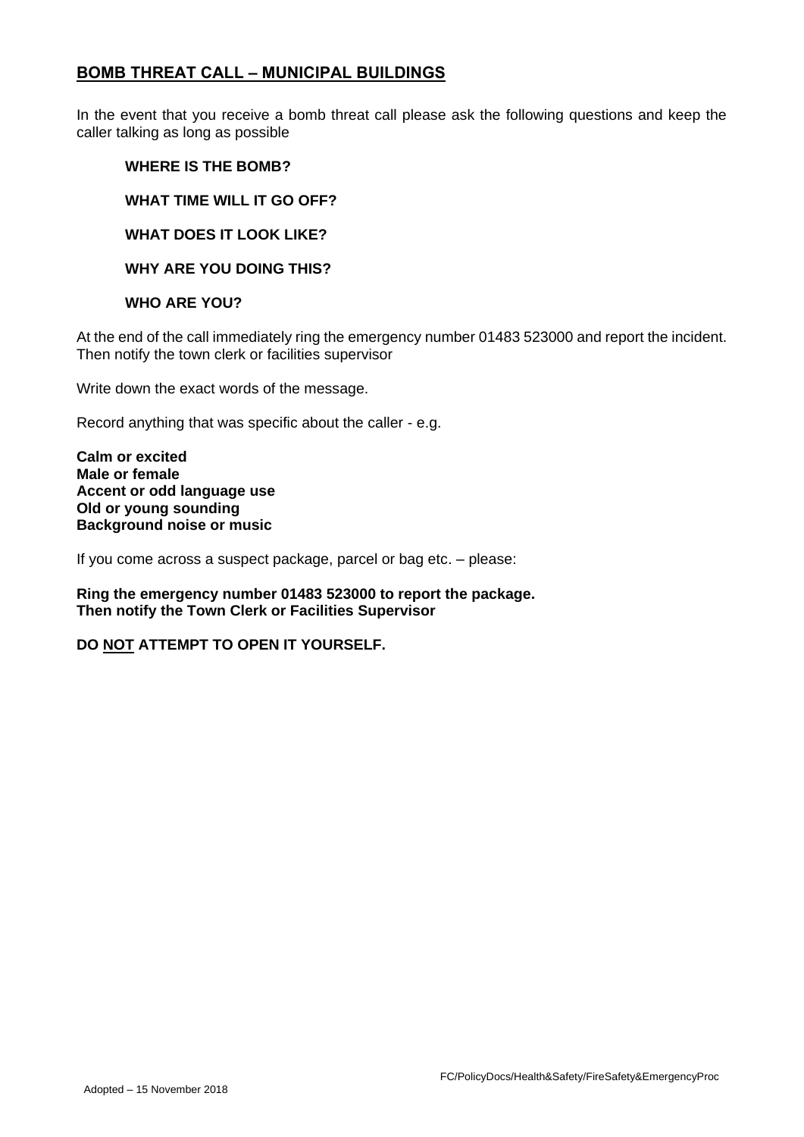## **BOMB THREAT CALL – MUNICIPAL BUILDINGS**

In the event that you receive a bomb threat call please ask the following questions and keep the caller talking as long as possible

### **WHERE IS THE BOMB?**

**WHAT TIME WILL IT GO OFF?**

**WHAT DOES IT LOOK LIKE?**

**WHY ARE YOU DOING THIS?** 

### **WHO ARE YOU?**

At the end of the call immediately ring the emergency number 01483 523000 and report the incident. Then notify the town clerk or facilities supervisor

Write down the exact words of the message.

Record anything that was specific about the caller - e.g.

**Calm or excited Male or female Accent or odd language use Old or young sounding Background noise or music**

If you come across a suspect package, parcel or bag etc. – please:

**Ring the emergency number 01483 523000 to report the package. Then notify the Town Clerk or Facilities Supervisor** 

## **DO NOT ATTEMPT TO OPEN IT YOURSELF.**